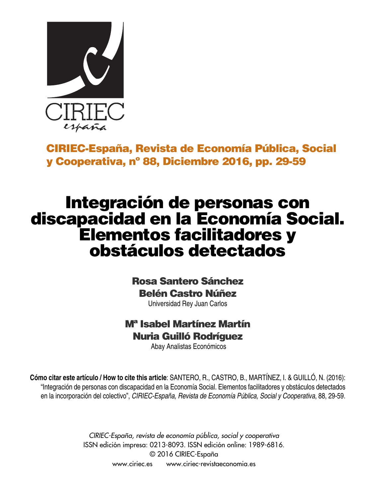

**CIRIEC-España, Revista de Economía Pública, Social y Cooperativa, nº 88, Diciembre 2016, pp. 29-59**

# **Integración de personas con discapacidad en la Economía Social. Elementos facilitadores y obstáculos detectados**

# **Rosa Santero Sánchez Belén Castro Núñez**

Universidad Rey Juan Carlos

# **Mª Isabel Martínez Martín Nuria Guilló Rodríguez**

Abay Analistas Económicos

**Cómo citar este artículo / How to cite this article**: SANTERO, R., CASTRO, B., MARTÍNEZ, I. & GUILLÓ, N. (2016): "Integración de personas con discapacidad en la Economía Social. Elementos facilitadores y obstáculos detectados en la incorporación del colectivo", *CIRIEC-España, Revista de Economía Pública, Social y Cooperativa*, 88, 29-59.

> *CIRIEC-España, revista de economía pública, social y cooperativa* ISSN edición impresa: 0213-8093. ISSN edición online: 1989-6816. © 2016 CIRIEC-España www.ciriec.es www.ciriec-revistaeconomia.es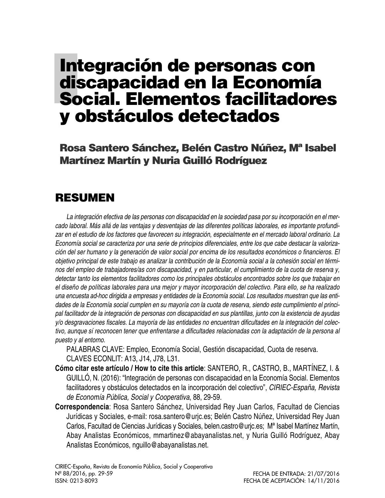# **Integración de personas con discapacidad en la Economía Social. Elementos facilitadores y obstáculos detectados**

**Rosa Santero Sánchez, Belén Castro Núñez, Mª Isabel Martínez Martín y Nuria Guilló Rodríguez**

# **RESUMEN**

La integración efectiva de las personas con discapacidad en la sociedad pasa por su incorporación en el mercado laboral. Más allá de las ventajas y desventajas de las diferentes políticas laborales, es importante profundizar en el estudio de los factores que favorecen su integración, especialmente en el mercado laboral ordinario. La Economía social se caracteriza por una serie de principios diferenciales, entre los que cabe destacar la valorización del ser humano y la generación de valor social por encima de los resultados económicos o financieros. El objetivo principal de este trabajo es analizar la contribución de la Economía social a la cohesión social en términos del empleo de trabajadores/as con discapacidad, y en particular, el cumplimiento de la cuota de reserva y, *detectar tanto los elementos facilitadores como los principales obstáculos encontrados sobre los que trabajar en* el diseño de políticas laborales para una mejor y mayor incorporación del colectivo. Para ello, se ha realizado una encuesta ad-hoc dirigida a empresas y entidades de la Economía social. Los resultados muestran que las entidades de la Economía social cumplen en su mayoría con la cuota de reserva, siendo este cumplimiento el principal facilitador de la integración de personas con discapacidad en sus plantillas, junto con la existencia de ayudas y/o desgravaciones fiscales. La mayoría de las entidades no encuentran dificultades en la integración del colectivo, aunque sí reconocen tener que enfrentarse a dificultades relacionadas con la adaptación de la persona al *puesto y al entorno.*

PALABRAS CLAVE: Empleo, Economía Social, Gestión discapacidad, Cuota de reserva. CLAVES ECONLIT: A13, J14, J78, L31.

- **Cómo citar este artículo / How to cite this article**: SANTERO, R., CASTRO, B., MARTÍNEZ, I. & GUILLÓ, N. (2016): "Integración de personas con discapacidad en la Economía Social. Elementos facilitadores y obstáculos detectados en la incorporación del colectivo", *CIRIEC-España, Revista de Economía Pública, Social y Cooperativa*, 88, 29-59.
- **Correspondencia**: Rosa Santero Sánchez, Universidad Rey Juan Carlos, Facultad de Ciencias Jurídicas y Sociales, e-mail: rosa.santero@urjc.es; Belén Castro Núñez, Universidad Rey Juan Carlos, Facultad de Ciencias Jurídicas y Sociales, belen.castro@urjc.es; Mª Isabel Martínez Martín, Abay Analistas Económicos, mmartinez@abayanalistas.net, y Nuria Guilló Rodríguez, Abay Analistas Económicos, nguillo@abayanalistas.net.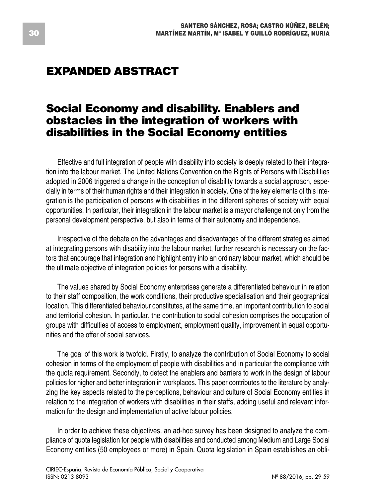# **EXPANDED ABSTRACT**

## **Social Economy and disability. Enablers and obstacles in the integration of workers with disabilities in the Social Economy entities**

Effective and full integration of people with disability into society is deeply related to their integration into the labour market. The United Nations Convention on the Rights of Persons with Disabilities adopted in 2006 triggered a change in the conception of disability towards a social approach, especially in terms of their human rights and their integration in society. One of the key elements of this integration is the participation of persons with disabilities in the different spheres of society with equal opportunities. In particular, their integration in the labour market is a mayor challenge not only from the personal development perspective, but also in terms of their autonomy and independence.

Irrespective of the debate on the advantages and disadvantages of the different strategies aimed at integrating persons with disability into the labour market, further research is necessary on the factors that encourage that integration and highlight entry into an ordinary labour market, which should be the ultimate objective of integration policies for persons with a disability.

The values shared by Social Economy enterprises generate a differentiated behaviour in relation to their staff composition, the work conditions, their productive specialisation and their geographical location. This differentiated behaviour constitutes, at the same time, an important contribution to social and territorial cohesion. In particular, the contribution to social cohesion comprises the occupation of groups with difficulties of access to employment, employment quality, improvement in equal opportunities and the offer of social services.

The goal of this work is twofold. Firstly, to analyze the contribution of Social Economy to social cohesion in terms of the employment of people with disabilities and in particular the compliance with the quota requirement. Secondly, to detect the enablers and barriers to work in the design of labour policies for higher and better integration in workplaces. This paper contributes to the literature by analyzing the key aspects related to the perceptions, behaviour and culture of Social Economy entities in relation to the integration of workers with disabilities in their staffs, adding useful and relevant information for the design and implementation of active labour policies.

In order to achieve these objectives, an ad-hoc survey has been designed to analyze the compliance of quota legislation for people with disabilities and conducted among Medium and Large Social Economy entities (50 employees or more) in Spain. Quota legislation in Spain establishes an obli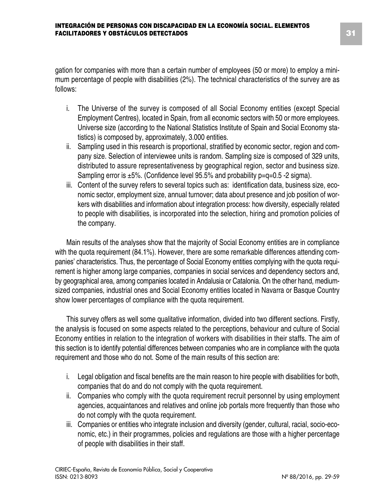gation for companies with more than a certain number of employees (50 or more) to employ a minimum percentage of people with disabilities (2%). The technical characteristics of the survey are as follows:

- i. The Universe of the survey is composed of all Social Economy entities (except Special Employment Centres), located in Spain, from all economic sectors with 50 or more employees. Universe size (according to the National Statistics Institute of Spain and Social Economy statistics) is composed by, approximately, 3.000 entities.
- ii. Sampling used in this research is proportional, stratified by economic sector, region and company size. Selection of interviewee units is random. Sampling size is composed of 329 units, distributed to assure representativeness by geographical region, sector and business size. Sampling error is  $\pm 5\%$ . (Confidence level 95.5% and probability  $p=q=0.5$  -2 sigma).
- iii. Content of the survey refers to several topics such as: identification data, business size, economic sector, employment size, annual turnover; data about presence and job position of workers with disabilities and information about integration process: how diversity, especially related to people with disabilities, is incorporated into the selection, hiring and promotion policies of the company.

Main results of the analyses show that the majority of Social Economy entities are in compliance with the quota requirement (84.1%). However, there are some remarkable differences attending companies' characteristics. Thus, the percentage of Social Economy entities complying with the quota requirement is higher among large companies, companies in social services and dependency sectors and, by geographical area, among companies located in Andalusia or Catalonia. On the other hand, mediumsized companies, industrial ones and Social Economy entities located in Navarra or Basque Country show lower percentages of compliance with the quota requirement.

This survey offers as well some qualitative information, divided into two different sections. Firstly, the analysis is focused on some aspects related to the perceptions, behaviour and culture of Social Economy entities in relation to the integration of workers with disabilities in their staffs. The aim of this section is to identify potential differences between companies who are in compliance with the quota requirement and those who do not. Some of the main results of this section are:

- i. Legal obligation and fiscal benefits are the main reason to hire people with disabilities for both, companies that do and do not comply with the quota requirement.
- ii. Companies who comply with the quota requirement recruit personnel by using employment agencies, acquaintances and relatives and online job portals more frequently than those who do not comply with the quota requirement.
- iii. Companies or entities who integrate inclusion and diversity (gender, cultural, racial, socio-economic, etc.) in their programmes, policies and regulations are those with a higher percentage of people with disabilities in their staff.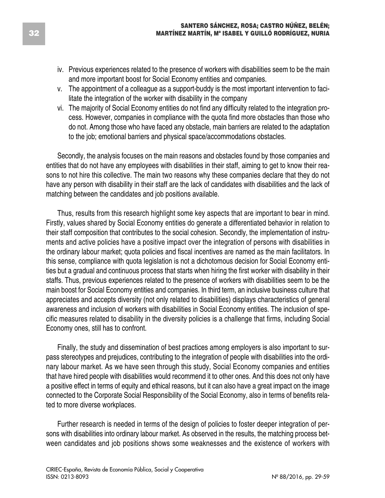- iv. Previous experiences related to the presence of workers with disabilities seem to be the main and more important boost for Social Economy entities and companies.
- v. The appointment of a colleague as a support-buddy is the most important intervention to facilitate the integration of the worker with disability in the company
- vi. The majority of Social Economy entities do not find any difficulty related to the integration process. However, companies in compliance with the quota find more obstacles than those who do not. Among those who have faced any obstacle, main barriers are related to the adaptation to the job; emotional barriers and physical space/accommodations obstacles.

Secondly, the analysis focuses on the main reasons and obstacles found by those companies and entities that do not have any employees with disabilities in their staff, aiming to get to know their reasons to not hire this collective. The main two reasons why these companies declare that they do not have any person with disability in their staff are the lack of candidates with disabilities and the lack of matching between the candidates and job positions available.

Thus, results from this research highlight some key aspects that are important to bear in mind. Firstly, values shared by Social Economy entities do generate a differentiated behavior in relation to their staff composition that contributes to the social cohesion. Secondly, the implementation of instruments and active policies have a positive impact over the integration of persons with disabilities in the ordinary labour market; quota policies and fiscal incentives are named as the main facilitators. In this sense, compliance with quota legislation is not a dichotomous decision for Social Economy entities but a gradual and continuous process that starts when hiring the first worker with disability in their staffs. Thus, previous experiences related to the presence of workers with disabilities seem to be the main boost for Social Economy entities and companies. In third term, an inclusive business culture that appreciates and accepts diversity (not only related to disabilities) displays characteristics of general awareness and inclusion of workers with disabilities in Social Economy entities. The inclusion of specific measures related to disability in the diversity policies is a challenge that firms, including Social Economy ones, still has to confront.

Finally, the study and dissemination of best practices among employers is also important to surpass stereotypes and prejudices, contributing to the integration of people with disabilities into the ordinary labour market. As we have seen through this study, Social Economy companies and entities that have hired people with disabilities would recommend it to other ones. And this does not only have a positive effect in terms of equity and ethical reasons, but it can also have a great impact on the image connected to the Corporate Social Responsibility of the Social Economy, also in terms of benefits related to more diverse workplaces.

Further research is needed in terms of the design of policies to foster deeper integration of persons with disabilities into ordinary labour market. As observed in the results, the matching process between candidates and job positions shows some weaknesses and the existence of workers with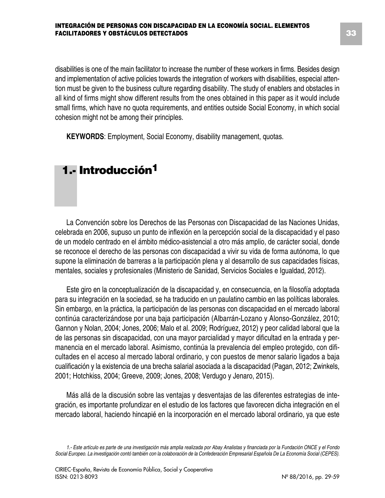disabilities is one of the main facilitator to increase the number of these workers in firms. Besides design and implementation of active policies towards the integration of workers with disabilities, especial attention must be given to the business culture regarding disability. The study of enablers and obstacles in all kind of firms might show different results from the ones obtained in this paper as it would include small firms, which have no quota requirements, and entities outside Social Economy, in which social cohesion might not be among their principles.

**KEYWORDS**: Employment, Social Economy, disability management, quotas.

# **1.- Introducción1**

La Convención sobre los Derechos de las Personas con Discapacidad de las Naciones Unidas, celebrada en 2006, supuso un punto de inflexión en la percepción social de la discapacidad y el paso de un modelo centrado en el ámbito médico-asistencial a otro más amplio, de carácter social, donde se reconoce el derecho de las personas con discapacidad a vivir su vida de forma autónoma, lo que supone la eliminación de barreras a la participación plena y al desarrollo de sus capacidades físicas, mentales, sociales y profesionales (Ministerio de Sanidad, Servicios Sociales e Igualdad, 2012).

Este giro en la conceptualización de la discapacidad y, en consecuencia, en la filosofía adoptada para su integración en la sociedad, se ha traducido en un paulatino cambio en las políticas laborales. Sin embargo, en la práctica, la participación de las personas con discapacidad en el mercado laboral continúa caracterizándose por una baja participación (Albarrán-Lozano y Alonso-González, 2010; Gannon y Nolan, 2004; Jones, 2006; Malo et al. 2009; Rodríguez, 2012) y peor calidad laboral que la de las personas sin discapacidad, con una mayor parcialidad y mayor dificultad en la entrada y permanencia en el mercado laboral. Asimismo, continúa la prevalencia del empleo protegido, con dificultades en el acceso al mercado laboral ordinario, y con puestos de menor salario ligados a baja cualificación y la existencia de una brecha salarial asociada a la discapacidad (Pagan, 2012; Zwinkels, 2001; Hotchkiss, 2004; Greeve, 2009; Jones, 2008; Verdugo y Jenaro, 2015).

Más allá de la discusión sobre las ventajas y desventajas de las diferentes estrategias de integración, es importante profundizar en el estudio de los factores que favorecen dicha integración en el mercado laboral, haciendo hincapié en la incorporación en el mercado laboral ordinario, ya que este

<sup>1.-</sup> Este artículo es parte de una investigación más amplia realizada por Abay Analistas y financiada por la Fundación ONCE y el Fondo Social Europeo. La investigación contó también con la colaboración de la Confederación Empresarial Española De La Economía Social (CEPES).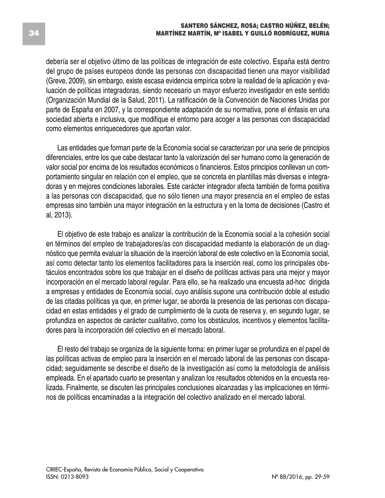debería ser el objetivo último de las políticas de integración de este colectivo. España está dentro del grupo de países europeos donde las personas con discapacidad tienen una mayor visibilidad (Greve, 2009), sin embargo, existe escasa evidencia empírica sobre la realidad de la aplicación y evaluación de políticas integradoras, siendo necesario un mayor esfuerzo investigador en este sentido (Organización Mundial de la Salud, 2011). La ratificación de la Convención de Naciones Unidas por parte de España en 2007, y la correspondiente adaptación de su normativa, pone el énfasis en una sociedad abierta e inclusiva, que modifique el entorno para acoger a las personas con discapacidad como elementos enriquecedores que aportan valor.

Las entidades que forman parte de la Economía social se caracterizan por una serie de principios diferenciales, entre los que cabe destacar tanto la valorización del ser humano como la generación de valor social por encima de los resultados económicos o financieros. Estos principios conllevan un comportamiento singular en relación con el empleo, que se concreta en plantillas más diversas e integradoras y en mejores condiciones laborales. Este carácter integrador afecta también de forma positiva a las personas con discapacidad, que no sólo tienen una mayor presencia en el empleo de estas empresas sino también una mayor integración en la estructura y en la toma de decisiones (Castro et al, 2013).

El objetivo de este trabajo es analizar la contribución de la Economía social a la cohesión social en términos del empleo de trabajadores/as con discapacidad mediante la elaboración de un diagnóstico que permita evaluar la situación de la inserción laboral de este colectivo en la Economía social, así como detectar tanto los elementos facilitadores para la inserción real, como los principales obstáculos encontrados sobre los que trabajar en el diseño de políticas activas para una mejor y mayor incorporación en el mercado laboral regular. Para ello, se ha realizado una encuesta ad-hoc dirigida a empresas y entidades de Economía social, cuyo análisis supone una contribución doble al estudio de las citadas políticas ya que, en primer lugar, se aborda la presencia de las personas con discapacidad en estas entidades y el grado de cumplimiento de la cuota de reserva y, en segundo lugar, se profundiza en aspectos de carácter cualitativo, como los obstáculos, incentivos y elementos facilitadores para la incorporación del colectivo en el mercado laboral.

El resto del trabajo se organiza de la siguiente forma: en primer lugar se profundiza en el papel de las políticas activas de empleo para la inserción en el mercado laboral de las personas con discapacidad; seguidamente se describe el diseño de la investigación así como la metodología de análisis empleada. En el apartado cuarto se presentan y analizan los resultados obtenidos en la encuesta realizada. Finalmente, se discuten las principales conclusiones alcanzadas y las implicaciones en términos de políticas encaminadas a la integración del colectivo analizado en el mercado laboral.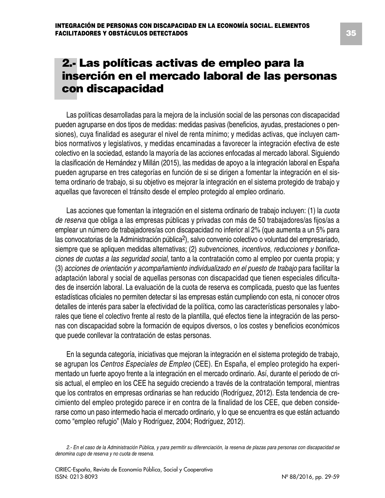# **2.- Las políticas activas de empleo para la inserción en el mercado laboral de las personas con discapacidad**

Las políticas desarrolladas para la mejora de la inclusión social de las personas con discapacidad pueden agruparse en dos tipos de medidas: medidas pasivas (beneficios, ayudas, prestaciones o pensiones), cuya finalidad es asegurar el nivel de renta mínimo; y medidas activas, que incluyen cambios normativos y legislativos, y medidas encaminadas a favorecer la integración efectiva de este colectivo en la sociedad, estando la mayoría de las acciones enfocadas al mercado laboral. Siguiendo la clasificación de Hernández y Millán (2015), las medidas de apoyo a la integración laboral en España pueden agruparse en tres categorías en función de si se dirigen a fomentar la integración en el sistema ordinario de trabajo, si su objetivo es mejorar la integración en el sistema protegido de trabajo y aquellas que favorecen el tránsito desde el empleo protegido al empleo ordinario.

Las acciones que fomentan la integración en el sistema ordinario de trabajo incluyen: (1) la *cuota de reserva* que obliga a las empresas públicas y privadas con más de 50 trabajadores/as fijos/as a emplear un número de trabajadores/as con discapacidad no inferior al 2% (que aumenta a un 5% para las convocatorias de la Administración pública2), salvo convenio colectivo o voluntad del empresariado, siempre que se apliquen medidas alternativas; (2) *subvenciones, incentivos, reducciones y bonificaciones de cuotas a las seguridad social*, tanto a la contratación como al empleo por cuenta propia; y (3) *acciones de orientación y acompañamiento individualizado en el puesto de trabajo* para facilitar la adaptación laboral y social de aquellas personas con discapacidad que tienen especiales dificultades de inserción laboral. La evaluación de la cuota de reserva es complicada, puesto que las fuentes estadísticas oficiales no permiten detectar si las empresas están cumpliendo con esta, ni conocer otros detalles de interés para saber la efectividad de la política, como las características personales y laborales que tiene el colectivo frente al resto de la plantilla, qué efectos tiene la integración de las personas con discapacidad sobre la formación de equipos diversos, o los costes y beneficios económicos que puede conllevar la contratación de estas personas.

En la segunda categoría, iniciativas que mejoran la integración en el sistema protegido de trabajo, se agrupan los *Centros Especiales de Empleo* (CEE). En España, el empleo protegido ha experimentado un fuerte apoyo frente a la integración en el mercado ordinario. Así, durante el periodo de crisis actual, el empleo en los CEE ha seguido creciendo a través de la contratación temporal, mientras que los contratos en empresas ordinarias se han reducido (Rodríguez, 2012). Esta tendencia de crecimiento del empleo protegido parece ir en contra de la finalidad de los CEE, que deben considerarse como un paso intermedio hacia el mercado ordinario, y lo que se encuentra es que están actuando como "empleo refugio" (Malo y Rodríguez, 2004; Rodríguez, 2012).

<sup>2.-</sup> En el caso de la Administración Pública, y para permitir su diferenciación, la reserva de plazas para personas con discapacidad se *denomina cupo de reserva y no cuota de reserva.*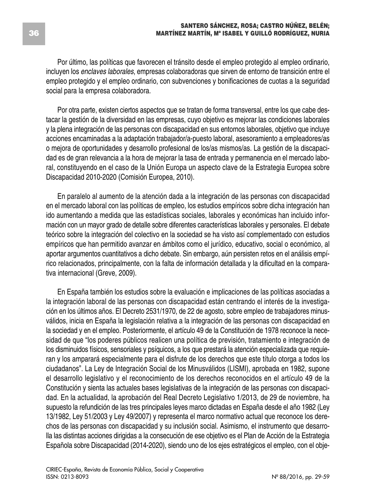Por último, las políticas que favorecen el tránsito desde el empleo protegido al empleo ordinario, incluyen los *enclaves laborales*, empresas colaboradoras que sirven de entorno de transición entre el empleo protegido y el empleo ordinario, con subvenciones y bonificaciones de cuotas a la seguridad social para la empresa colaboradora.

Por otra parte, existen ciertos aspectos que se tratan de forma transversal, entre los que cabe destacar la gestión de la diversidad en las empresas, cuyo objetivo es mejorar las condiciones laborales y la plena integración de las personas con discapacidad en sus entornos laborales, objetivo que incluye acciones encaminadas a la adaptación trabajador/a-puesto laboral, asesoramiento a empleadores/as o mejora de oportunidades y desarrollo profesional de los/as mismos/as. La gestión de la discapacidad es de gran relevancia a la hora de mejorar la tasa de entrada y permanencia en el mercado laboral, constituyendo en el caso de la Unión Europa un aspecto clave de la Estrategia Europea sobre Discapacidad 2010-2020 (Comisión Europea, 2010).

En paralelo al aumento de la atención dada a la integración de las personas con discapacidad en el mercado laboral con las políticas de empleo, los estudios empíricos sobre dicha integración han ido aumentando a medida que las estadísticas sociales, laborales y económicas han incluido información con un mayor grado de detalle sobre diferentes características laborales y personales. El debate teórico sobre la integración del colectivo en la sociedad se ha visto así complementado con estudios empíricos que han permitido avanzar en ámbitos como el jurídico, educativo, social o económico, al aportar argumentos cuantitativos a dicho debate. Sin embargo, aún persisten retos en el análisis empírico relacionados, principalmente, con la falta de información detallada y la dificultad en la comparativa internacional (Greve, 2009).

En España también los estudios sobre la evaluación e implicaciones de las políticas asociadas a la integración laboral de las personas con discapacidad están centrando el interés de la investigación en los últimos años. El Decreto 2531/1970, de 22 de agosto, sobre empleo de trabajadores minusválidos, inicia en España la legislación relativa a la integración de las personas con discapacidad en la sociedad y en el empleo. Posteriormente, el artículo 49 de la Constitución de 1978 reconoce la necesidad de que "los poderes públicos realicen una política de previsión, tratamiento e integración de los disminuidos físicos, sensoriales y psíquicos, a los que prestará la atención especializada que requieran y los amparará especialmente para el disfrute de los derechos que este título otorga a todos los ciudadanos". La Ley de Integración Social de los Minusválidos (LISMI), aprobada en 1982, supone el desarrollo legislativo y el reconocimiento de los derechos reconocidos en el artículo 49 de la Constitución y sienta las actuales bases legislativas de la integración de las personas con discapacidad. En la actualidad, la aprobación del Real Decreto Legislativo 1/2013, de 29 de noviembre, ha supuesto la refundición de las tres principales leyes marco dictadas en España desde el año 1982 (Ley 13/1982, Ley 51/2003 y Ley 49/2007) y representa el marco normativo actual que reconoce los derechos de las personas con discapacidad y su inclusión social. Asimismo, el instrumento que desarrolla las distintas acciones dirigidas a la consecución de ese objetivo es el Plan de Acción de la Estrategia Española sobre Discapacidad (2014-2020), siendo uno de los ejes estratégicos el empleo, con el obje-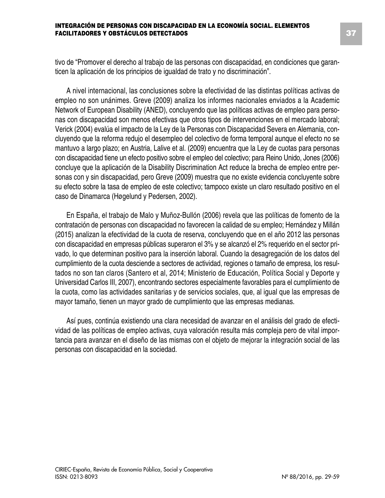tivo de "Promover el derecho al trabajo de las personas con discapacidad, en condiciones que garanticen la aplicación de los principios de igualdad de trato y no discriminación".

A nivel internacional, las conclusiones sobre la efectividad de las distintas políticas activas de empleo no son unánimes. Greve (2009) analiza los informes nacionales enviados a la Academic Network of European Disability (ANED), concluyendo que las políticas activas de empleo para personas con discapacidad son menos efectivas que otros tipos de intervenciones en el mercado laboral; Verick (2004) evalúa el impacto de la Ley de la Personas con Discapacidad Severa en Alemania, concluyendo que la reforma redujo el desempleo del colectivo de forma temporal aunque el efecto no se mantuvo a largo plazo; en Austria, Lalive et al. (2009) encuentra que la Ley de cuotas para personas con discapacidad tiene un efecto positivo sobre el empleo del colectivo; para Reino Unido, Jones (2006) concluye que la aplicación de la Disability Discrimination Act reduce la brecha de empleo entre personas con y sin discapacidad, pero Greve (2009) muestra que no existe evidencia concluyente sobre su efecto sobre la tasa de empleo de este colectivo; tampoco existe un claro resultado positivo en el caso de Dinamarca (Høgelund y Pedersen, 2002).

En España, el trabajo de Malo y Muñoz-Bullón (2006) revela que las políticas de fomento de la contratación de personas con discapacidad no favorecen la calidad de su empleo; Hernández y Millán (2015) analizan la efectividad de la cuota de reserva, concluyendo que en el año 2012 las personas con discapacidad en empresas públicas superaron el 3% y se alcanzó el 2% requerido en el sector privado, lo que determinan positivo para la inserción laboral. Cuando la desagregación de los datos del cumplimiento de la cuota desciende a sectores de actividad, regiones o tamaño de empresa, los resultados no son tan claros (Santero et al, 2014; Ministerio de Educación, Política Social y Deporte y Universidad Carlos III, 2007), encontrando sectores especialmente favorables para el cumplimiento de la cuota, como las actividades sanitarias y de servicios sociales, que, al igual que las empresas de mayor tamaño, tienen un mayor grado de cumplimiento que las empresas medianas.

Así pues, continúa existiendo una clara necesidad de avanzar en el análisis del grado de efectividad de las políticas de empleo activas, cuya valoración resulta más compleja pero de vital importancia para avanzar en el diseño de las mismas con el objeto de mejorar la integración social de las personas con discapacidad en la sociedad.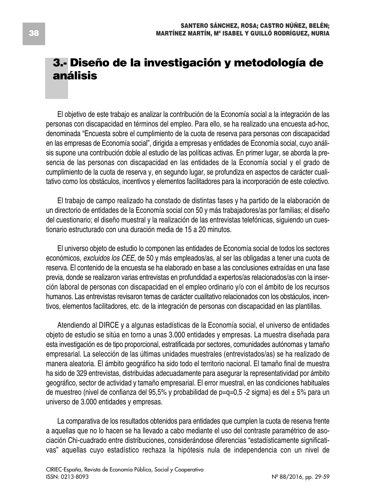# **3.- Diseño de la investigación y metodología de análisis**

El objetivo de este trabajo es analizar la contribución de la Economía social a la integración de las personas con discapacidad en términos del empleo. Para ello, se ha realizado una encuesta ad-hoc, denominada "Encuesta sobre el cumplimiento de la cuota de reserva para personas con discapacidad en las empresas de Economía social", dirigida a empresas y entidades de Economía social, cuyo análisis supone una contribución doble al estudio de las políticas activas. En primer lugar, se aborda la presencia de las personas con discapacidad en las entidades de la Economía social y el grado de cumplimiento de la cuota de reserva y, en segundo lugar, se profundiza en aspectos de carácter cualitativo como los obstáculos, incentivos y elementos facilitadores para la incorporación de este colectivo.

El trabajo de campo realizado ha constado de distintas fases y ha partido de la elaboración de un directorio de entidades de la Economía social con 50 y más trabajadores/as por familias; el diseño del cuestionario; el diseño muestral y la realización de las entrevistas telefónicas, siguiendo un cuestionario estructurado con una duración media de 15 a 20 minutos.

El universo objeto de estudio lo componen las entidades de Economía social de todos los sectores económicos, *excluidos los CEE*, de 50 y más empleados/as, al ser las obligadas a tener una cuota de reserva. El contenido de la encuesta se ha elaborado en base a las conclusiones extraídas en una fase previa, donde se realizaron varias entrevistas en profundidad a expertos/as relacionados/as con la inserción laboral de personas con discapacidad en el empleo ordinario y/o con el ámbito de los recursos humanos. Las entrevistas revisaron temas de carácter cualitativo relacionados con los obstáculos, incentivos, elementos facilitadores, etc. de la integración de personas con discapacidad en las plantillas.

Atendiendo al DIRCE y a algunas estadísticas de la Economía social, el universo de entidades objeto de estudio se sitúa en torno a unas 3.000 entidades y empresas. La muestra diseñada para esta investigación es de tipo proporcional, estratificada por sectores, comunidades autónomas y tamaño empresarial. La selección de las últimas unidades muestrales (entrevistados/as) se ha realizado de manera aleatoria. El ámbito geográfico ha sido todo el territorio nacional. El tamaño final de muestra ha sido de 329 entrevistas, distribuidas adecuadamente para asegurar la representatividad por ámbito geográfico, sector de actividad y tamaño empresarial. El error muestral, en las condiciones habituales de muestreo (nivel de confianza del 95,5% y probabilidad de p=q=0,5 -2 sigma) es del  $\pm$  5% para un universo de 3.000 entidades y empresas.

La comparativa de los resultados obtenidos para entidades que cumplen la cuota de reserva frente a aquellas que no lo hacen se ha llevado a cabo mediante el uso del contraste paramétrico de asociación Chi-cuadrado entre distribuciones, considerándose diferencias "estadísticamente significativas" aquellas cuyo estadístico rechaza la hipótesis nula de independencia con un nivel de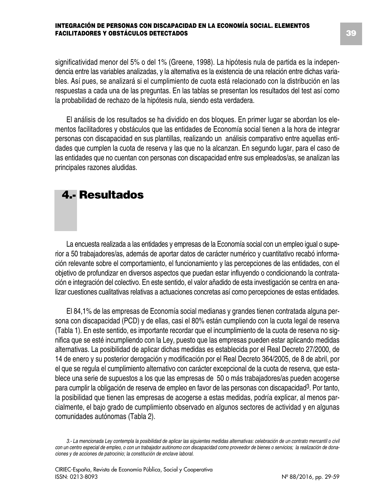significatividad menor del 5% o del 1% (Greene, 1998). La hipótesis nula de partida es la independencia entre las variables analizadas, y la alternativa es la existencia de una relación entre dichas variables. Así pues, se analizará si el cumplimiento de cuota está relacionado con la distribución en las respuestas a cada una de las preguntas. En las tablas se presentan los resultados del test así como la probabilidad de rechazo de la hipótesis nula, siendo esta verdadera.

El análisis de los resultados se ha dividido en dos bloques. En primer lugar se abordan los elementos facilitadores y obstáculos que las entidades de Economía social tienen a la hora de integrar personas con discapacidad en sus plantillas, realizando un análisis comparativo entre aquellas entidades que cumplen la cuota de reserva y las que no la alcanzan. En segundo lugar, para el caso de las entidades que no cuentan con personas con discapacidad entre sus empleados/as, se analizan las principales razones aludidas.

## **4.- Resultados**

La encuesta realizada a las entidades y empresas de la Economía social con un empleo igual o superior a 50 trabajadores/as, además de aportar datos de carácter numérico y cuantitativo recabó información relevante sobre el comportamiento, el funcionamiento y las percepciones de las entidades, con el objetivo de profundizar en diversos aspectos que puedan estar influyendo o condicionando la contratación e integración del colectivo. En este sentido, el valor añadido de esta investigación se centra en analizar cuestiones cualitativas relativas a actuaciones concretas así como percepciones de estas entidades.

El 84,1% de las empresas de Economía social medianas y grandes tienen contratada alguna persona con discapacidad (PCD) y de ellas, casi el 80% están cumpliendo con la cuota legal de reserva (Tabla 1). En este sentido, es importante recordar que el incumplimiento de la cuota de reserva no significa que se esté incumpliendo con la Ley, puesto que las empresas pueden estar aplicando medidas alternativas. La posibilidad de aplicar dichas medidas es establecida por el Real Decreto 27/2000, de 14 de enero y su posterior derogación y modificación por el Real Decreto 364/2005, de 8 de abril, por el que se regula el cumplimiento alternativo con carácter excepcional de la cuota de reserva, que establece una serie de supuestos a los que las empresas de 50 o más trabajadores/as pueden acogerse para cumplir la obligación de reserva de empleo en favor de las personas con discapacidad3. Por tanto, la posibilidad que tienen las empresas de acogerse a estas medidas, podría explicar, al menos parcialmente, el bajo grado de cumplimiento observado en algunos sectores de actividad y en algunas comunidades autónomas (Tabla 2).

<sup>3.-</sup> La mencionada Ley contempla la posibilidad de aplicar las siguientes medidas alternativas: celebración de un contrato mercantil o civil con un centro especial de empleo, o con un trabajador autónomo con discapacidad como proveedor de bienes o servicios; la realización de dona*ciones y de acciones de patrocinio; la constitución de enclave laboral.*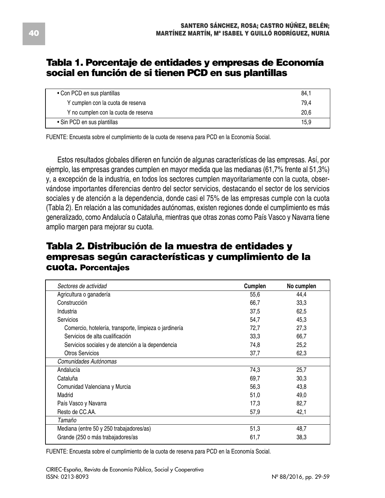#### **Tabla 1. Porcentaje de entidades y empresas de Economía social en función de si tienen PCD en sus plantillas**

| • Con PCD en sus plantillas          | 84,1 |
|--------------------------------------|------|
| Y cumplen con la cuota de reserva    | 79.4 |
| Y no cumplen con la cuota de reserva | 20.6 |
| • Sin PCD en sus plantillas          | 15.9 |

FUENTE: Encuesta sobre el cumplimiento de la cuota de reserva para PCD en la Economía Social.

Estos resultados globales difieren en función de algunas características de las empresas. Así, por ejemplo, las empresas grandes cumplen en mayor medida que las medianas (61,7% frente al 51,3%) y, a excepción de la industria, en todos los sectores cumplen mayoritariamente con la cuota, observándose importantes diferencias dentro del sector servicios, destacando el sector de los servicios sociales y de atención a la dependencia, donde casi el 75% de las empresas cumple con la cuota (Tabla 2). En relación a las comunidades autónomas, existen regiones donde el cumplimiento es más generalizado, como Andalucía o Cataluña, mientras que otras zonas como País Vasco y Navarra tiene amplio margen para mejorar su cuota.

### **Tabla 2. Distribución de la muestra de entidades y empresas según características y cumplimiento de la cuota. Porcentajes**

| Sectores de actividad                                  | Cumplen | No cumplen |
|--------------------------------------------------------|---------|------------|
| Agricultura o ganadería                                | 55,6    | 44,4       |
| Construcción                                           | 66,7    | 33,3       |
| Industria                                              | 37,5    | 62,5       |
| <b>Servicios</b>                                       | 54,7    | 45,3       |
| Comercio, hotelería, transporte, limpieza o jardinería | 72.7    | 27,3       |
| Servicios de alta cualificación                        | 33,3    | 66,7       |
| Servicios sociales y de atención a la dependencia      | 74,8    | 25,2       |
| Otros Servicios                                        | 37,7    | 62,3       |
| Comunidades Autónomas                                  |         |            |
| Andalucía                                              | 74,3    | 25,7       |
| Cataluña                                               | 69,7    | 30,3       |
| Comunidad Valenciana y Murcia                          | 56,3    | 43,8       |
| Madrid                                                 | 51,0    | 49,0       |
| País Vasco y Navarra                                   | 17,3    | 82,7       |
| Resto de CC.AA.                                        | 57,9    | 42,1       |
| Tamaño                                                 |         |            |
| Mediana (entre 50 y 250 trabajadores/as)               | 51,3    | 48,7       |
| Grande (250 o más trabajadores/as                      | 61,7    | 38,3       |

FUENTE: Encuesta sobre el cumplimiento de la cuota de reserva para PCD en la Economía Social.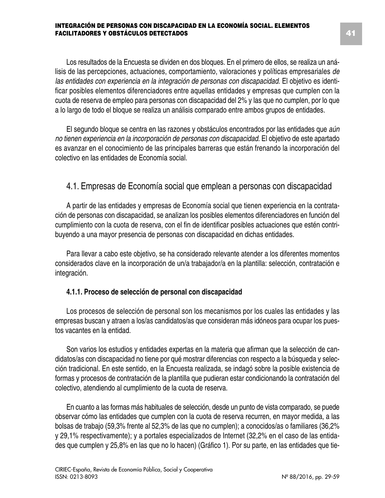Los resultados de la Encuesta se dividen en dos bloques. En el primero de ellos, se realiza un análisis de las percepciones, actuaciones, comportamiento, valoraciones y políticas empresariales *de las entidades con experiencia en la integración de personas con discapacidad*. El objetivo es identificar posibles elementos diferenciadores entre aquellas entidades y empresas que cumplen con la cuota de reserva de empleo para personas con discapacidad del 2% y las que no cumplen, por lo que a lo largo de todo el bloque se realiza un análisis comparado entre ambos grupos de entidades.

El segundo bloque se centra en las razones y obstáculos encontrados por las entidades que *aún no tienen experiencia en la incorporación de personas con discapacidad*. El objetivo de este apartado es avanzar en el conocimiento de las principales barreras que están frenando la incorporación del colectivo en las entidades de Economía social.

#### 4.1. Empresas de Economía social que emplean a personas con discapacidad

A partir de las entidades y empresas de Economía social que tienen experiencia en la contratación de personas con discapacidad, se analizan los posibles elementos diferenciadores en función del cumplimiento con la cuota de reserva, con el fin de identificar posibles actuaciones que estén contribuyendo a una mayor presencia de personas con discapacidad en dichas entidades.

Para llevar a cabo este objetivo, se ha considerado relevante atender a los diferentes momentos considerados clave en la incorporación de un/a trabajador/a en la plantilla: selección, contratación e integración.

#### **4.1.1. Proceso de selección de personal con discapacidad**

Los procesos de selección de personal son los mecanismos por los cuales las entidades y las empresas buscan y atraen a los/as candidatos/as que consideran más idóneos para ocupar los puestos vacantes en la entidad.

Son varios los estudios y entidades expertas en la materia que afirman que la selección de candidatos/as con discapacidad no tiene por qué mostrar diferencias con respecto a la búsqueda y selección tradicional. En este sentido, en la Encuesta realizada, se indagó sobre la posible existencia de formas y procesos de contratación de la plantilla que pudieran estar condicionando la contratación del colectivo, atendiendo al cumplimiento de la cuota de reserva.

En cuanto a las formas más habituales de selección, desde un punto de vista comparado, se puede observar cómo las entidades que cumplen con la cuota de reserva recurren, en mayor medida, a las bolsas de trabajo (59,3% frente al 52,3% de las que no cumplen); a conocidos/as o familiares (36,2% y 29,1% respectivamente); y a portales especializados de Internet (32,2% en el caso de las entidades que cumplen y 25,8% en las que no lo hacen) (Gráfico 1). Por su parte, en las entidades que tie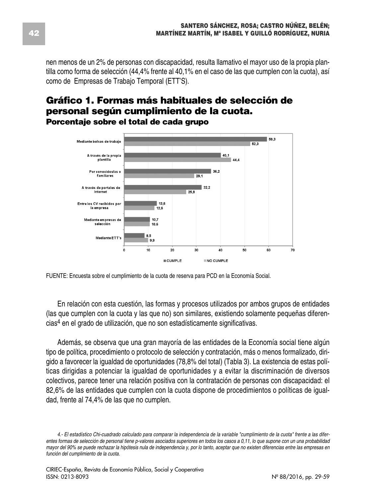nen menos de un 2% de personas con discapacidad, resulta llamativo el mayor uso de la propia plantilla como forma de selección (44,4% frente al 40,1% en el caso de las que cumplen con la cuota), así como de Empresas de Trabajo Temporal (ETT'S).

#### **Gráfico 1. Formas más habituales de selección de personal según cumplimiento de la cuota. Porcentaje sobre el total de cada grupo**



FUENTE: Encuesta sobre el cumplimiento de la cuota de reserva para PCD en la Economía Social.

En relación con esta cuestión, las formas y procesos utilizados por ambos grupos de entidades (las que cumplen con la cuota y las que no) son similares, existiendo solamente pequeñas diferencias<sup>4</sup> en el grado de utilización, que no son estadísticamente significativas.

Además, se observa que una gran mayoría de las entidades de la Economía social tiene algún tipo de política, procedimiento o protocolo de selección y contratación, más o menos formalizado, dirigido a favorecer la igualdad de oportunidades (78,8% del total) (Tabla 3). La existencia de estas políticas dirigidas a potenciar la igualdad de oportunidades y a evitar la discriminación de diversos colectivos, parece tener una relación positiva con la contratación de personas con discapacidad: el 82,6% de las entidades que cumplen con la cuota dispone de procedimientos o políticas de igualdad, frente al 74,4% de las que no cumplen.

<sup>4.-</sup> El estadístico Chi-cuadrado calculado para comparar la independencia de la variable "cumplimiento de la cuota" frente a las diferentes formas de selección de personal tiene p-valores asociados superiores en todos los casos a 0,11, lo que supone con un una probabilidad mayor del 90% se puede rechazar la hipótesis nula de independencia y, por lo tanto, aceptar que no existen diferencias entre las empresas en *función del cumplimiento de la cuota.*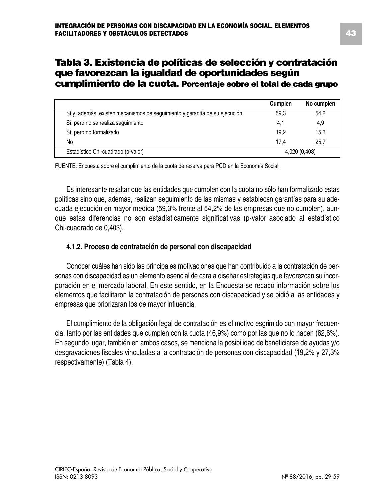#### **Tabla 3. Existencia de políticas de selección y contratación que favorezcan la igualdad de oportunidades según cumplimiento de la cuota. Porcentaje sobre el total de cada grupo**

|                                                                            | Cumplen | No cumplen    |
|----------------------------------------------------------------------------|---------|---------------|
| Sí y, además, existen mecanismos de seguimiento y garantía de su ejecución | 59.3    | 54,2          |
| Sí, pero no se realiza seguimiento                                         | 4.1     | 4,9           |
| Sí, pero no formalizado                                                    | 19.2    | 15,3          |
| No.                                                                        | 17.4    | 25.7          |
| Estadístico Chi-cuadrado (p-valor)                                         |         | 4,020 (0,403) |

FUENTE: Encuesta sobre el cumplimiento de la cuota de reserva para PCD en la Economía Social.

Es interesante resaltar que las entidades que cumplen con la cuota no sólo han formalizado estas políticas sino que, además, realizan seguimiento de las mismas y establecen garantías para su adecuada ejecución en mayor medida (59,3% frente al 54,2% de las empresas que no cumplen), aunque estas diferencias no son estadísticamente significativas (p-valor asociado al estadístico Chi-cuadrado de 0,403).

#### **4.1.2. Proceso de contratación de personal con discapacidad**

Conocer cuáles han sido las principales motivaciones que han contribuido a la contratación de personas con discapacidad es un elemento esencial de cara a diseñar estrategias que favorezcan su incorporación en el mercado laboral. En este sentido, en la Encuesta se recabó información sobre los elementos que facilitaron la contratación de personas con discapacidad y se pidió a las entidades y empresas que priorizaran los de mayor influencia.

El cumplimiento de la obligación legal de contratación es el motivo esgrimido con mayor frecuencia, tanto por las entidades que cumplen con la cuota (46,9%) como por las que no lo hacen (62,6%). En segundo lugar, también en ambos casos, se menciona la posibilidad de beneficiarse de ayudas y/o desgravaciones fiscales vinculadas a la contratación de personas con discapacidad (19,2% y 27,3% respectivamente) (Tabla 4).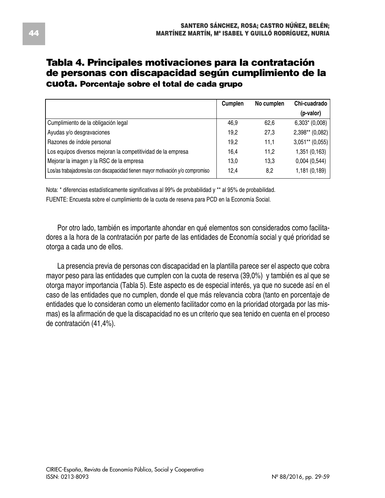### **Tabla 4. Principales motivaciones para la contratación de personas con discapacidad según cumplimiento de la cuota. Porcentaje sobre el total de cada grupo**

|                                                                                | Cumplen | No cumplen | Chi-cuadrado      |
|--------------------------------------------------------------------------------|---------|------------|-------------------|
|                                                                                |         |            | (p-valor)         |
| Cumplimiento de la obligación legal                                            | 46.9    | 62.6       | $6,303* (0,008)$  |
| Ayudas y/o desgravaciones                                                      | 19.2    | 27.3       | $2,398**$ (0,082) |
| Razones de índole personal                                                     | 19.2    | 11.1       | $3,051**$ (0,055) |
| Los equipos diversos mejoran la competitividad de la empresa                   | 16.4    | 11.2       | 1,351 (0,163)     |
| Mejorar la imagen y la RSC de la empresa                                       | 13.0    | 13.3       | 0,004(0,544)      |
| Los/as trabajadores/as con discapacidad tienen mayor motivación y/o compromiso | 12.4    | 8,2        | 1,181 (0,189)     |

Nota: \* diferencias estadísticamente significativas al 99% de probabilidad y \*\* al 95% de probabilidad. FUENTE: Encuesta sobre el cumplimiento de la cuota de reserva para PCD en la Economía Social.

Por otro lado, también es importante ahondar en qué elementos son considerados como facilitadores a la hora de la contratación por parte de las entidades de Economía social y qué prioridad se otorga a cada uno de ellos.

La presencia previa de personas con discapacidad en la plantilla parece ser el aspecto que cobra mayor peso para las entidades que cumplen con la cuota de reserva (39,0%) y también es al que se otorga mayor importancia (Tabla 5). Este aspecto es de especial interés, ya que no sucede así en el caso de las entidades que no cumplen, donde el que más relevancia cobra (tanto en porcentaje de entidades que lo consideran como un elemento facilitador como en la prioridad otorgada por las mismas) es la afirmación de que la discapacidad no es un criterio que sea tenido en cuenta en el proceso de contratación (41,4%).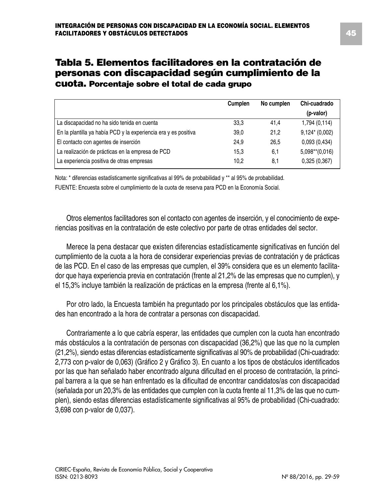### **Tabla 5. Elementos facilitadores en la contratación de personas con discapacidad según cumplimiento de la cuota. Porcentaje sobre el total de cada grupo**

|                                                                 | Cumplen | No cumplen | Chi-cuadrado      |
|-----------------------------------------------------------------|---------|------------|-------------------|
|                                                                 |         |            | (p-valor)         |
| La discapacidad no ha sido tenida en cuenta                     | 33.3    | 41.4       | 1,794 (0,114)     |
| En la plantilla ya había PCD y la experiencia era y es positiva | 39,0    | 21.2       | $9,124*(0,002)$   |
| El contacto con agentes de inserción                            | 24,9    | 26.5       | 0,093(0,434)      |
| La realización de prácticas en la empresa de PCD                | 15.3    | 6,1        | $5,098**$ (0,016) |
| La experiencia positiva de otras empresas                       | 10.2    | 8,1        | 0,325(0,367)      |

Nota: \* diferencias estadísticamente significativas al 99% de probabilidad y \*\* al 95% de probabilidad. FUENTE: Encuesta sobre el cumplimiento de la cuota de reserva para PCD en la Economía Social.

Otros elementos facilitadores son el contacto con agentes de inserción, y el conocimiento de experiencias positivas en la contratación de este colectivo por parte de otras entidades del sector.

Merece la pena destacar que existen diferencias estadísticamente significativas en función del cumplimiento de la cuota a la hora de considerar experiencias previas de contratación y de prácticas de las PCD. En el caso de las empresas que cumplen, el 39% considera que es un elemento facilitador que haya experiencia previa en contratación (frente al 21,2% de las empresas que no cumplen), y el 15,3% incluye también la realización de prácticas en la empresa (frente al 6,1%).

Por otro lado, la Encuesta también ha preguntado por los principales obstáculos que las entidades han encontrado a la hora de contratar a personas con discapacidad.

Contrariamente a lo que cabría esperar, las entidades que cumplen con la cuota han encontrado más obstáculos a la contratación de personas con discapacidad (36,2%) que las que no la cumplen (21,2%), siendo estas diferencias estadísticamente significativas al 90% de probabilidad (Chi-cuadrado: 2,773 con p-valor de 0,063) (Gráfico 2 y Gráfico 3). En cuanto a los tipos de obstáculos identificados por las que han señalado haber encontrado alguna dificultad en el proceso de contratación, la principal barrera a la que se han enfrentado es la dificultad de encontrar candidatos/as con discapacidad (señalada por un 20,3% de las entidades que cumplen con la cuota frente al 11,3% de las que no cumplen), siendo estas diferencias estadísticamente significativas al 95% de probabilidad (Chi-cuadrado: 3,698 con p-valor de 0,037).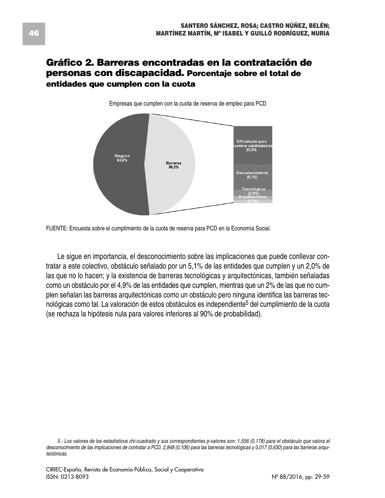#### **Gráfico 2. Barreras encontradas en la contratación de personas con discapacidad. Porcentaje sobre el total de entidades que cumplen con la cuota**



Empresas que cumplen con la cuota de reserva de empleo para PCD

Le sigue en importancia, el desconocimiento sobre las implicaciones que puede conllevar contratar a este colectivo, obstáculo señalado por un 5,1% de las entidades que cumplen y un 2,0% de las que no lo hacen; y la existencia de barreras tecnológicas y arquitectónicas, también señaladas como un obstáculo por el 4,9% de las entidades que cumplen, mientras que un 2% de las que no cumplen señalan las barreras arquitectónicas como un obstáculo pero ninguna identifica las barreras tecnológicas como tal. La valoración de estos obstáculos es independiente<sup>5</sup> del cumplimiento de la cuota (se rechaza la hipótesis nula para valores inferiores al 90% de probabilidad).

FUENTE: Encuesta sobre el cumplimiento de la cuota de reserva para PCD en la Economía Social.

<sup>5.-</sup> Los valores de los estadísticos chi-cuadrado y sus correspondientes p-valores son: 1,556 (0,178) para el obstáculo que valora el desconocimiento de las implicaciones de contratar a PCD, 2,848 (0,106) para las barreras tecnológicas y 0,017 (0,630) para las barreras arqui*tectónicas.*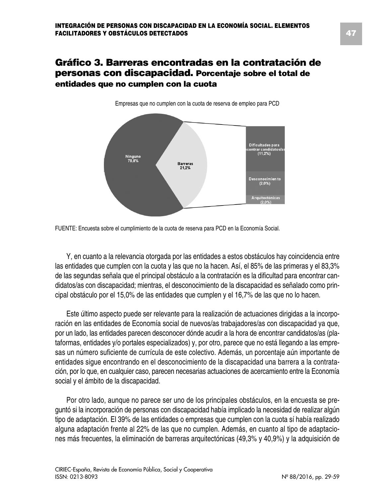#### **Gráfico 3. Barreras encontradas en la contratación de personas con discapacidad. Porcentaje sobre el total de entidades que no cumplen con la cuota**



Empresas que no cumplen con la cuota de reserva de empleo para PCD

Y, en cuanto a la relevancia otorgada por las entidades a estos obstáculos hay coincidencia entre las entidades que cumplen con la cuota y las que no la hacen. Así, el 85% de las primeras y el 83,3% de las segundas señala que el principal obstáculo a la contratación es la dificultad para encontrar candidatos/as con discapacidad; mientras, el desconocimiento de la discapacidad es señalado como principal obstáculo por el 15,0% de las entidades que cumplen y el 16,7% de las que no lo hacen.

Este último aspecto puede ser relevante para la realización de actuaciones dirigidas a la incorporación en las entidades de Economía social de nuevos/as trabajadores/as con discapacidad ya que, por un lado, las entidades parecen desconocer dónde acudir a la hora de encontrar candidatos/as (plataformas, entidades y/o portales especializados) y, por otro, parece que no está llegando a las empresas un número suficiente de currícula de este colectivo. Además, un porcentaje aún importante de entidades sigue encontrando en el desconocimiento de la discapacidad una barrera a la contratación, por lo que, en cualquier caso, parecen necesarias actuaciones de acercamiento entre la Economía social y el ámbito de la discapacidad.

Por otro lado, aunque no parece ser uno de los principales obstáculos, en la encuesta se preguntó si la incorporación de personas con discapacidad había implicado la necesidad de realizar algún tipo de adaptación. El 39% de las entidades o empresas que cumplen con la cuota sí había realizado alguna adaptación frente al 22% de las que no cumplen. Además, en cuanto al tipo de adaptaciones más frecuentes, la eliminación de barreras arquitectónicas (49,3% y 40,9%) y la adquisición de

FUENTE: Encuesta sobre el cumplimiento de la cuota de reserva para PCD en la Economía Social.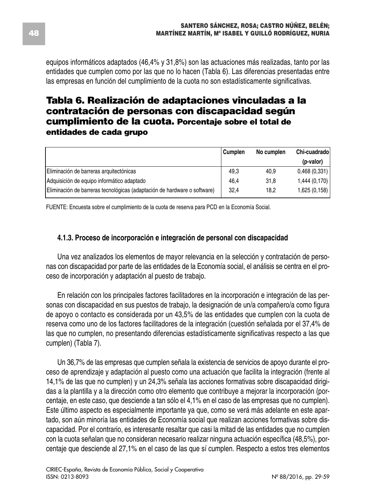equipos informáticos adaptados (46,4% y 31,8%) son las actuaciones más realizadas, tanto por las entidades que cumplen como por las que no lo hacen (Tabla 6). Las diferencias presentadas entre las empresas en función del cumplimiento de la cuota no son estadísticamente significativas.

### **Tabla 6. Realización de adaptaciones vinculadas a la contratación de personas con discapacidad según cumplimiento de la cuota. Porcentaje sobre el total de entidades de cada grupo**

|                                                                          | Cumplen | No cumplen | Chi-cuadrado |
|--------------------------------------------------------------------------|---------|------------|--------------|
|                                                                          |         |            | (p-valor)    |
| Eliminación de barreras arquitectónicas                                  | 49.3    | 40,9       | 0,468(0,331) |
| Adquisición de equipo informático adaptado                               | 46.4    | 31.8       | 1,444(0,170) |
| Eliminación de barreras tecnológicas (adaptación de hardware o software) | 32,4    | 18.2       | 1,625(0,158) |

FUENTE: Encuesta sobre el cumplimiento de la cuota de reserva para PCD en la Economía Social.

#### **4.1.3. Proceso de incorporación e integración de personal con discapacidad**

Una vez analizados los elementos de mayor relevancia en la selección y contratación de personas con discapacidad por parte de las entidades de la Economía social, el análisis se centra en el proceso de incorporación y adaptación al puesto de trabajo.

En relación con los principales factores facilitadores en la incorporación e integración de las personas con discapacidad en sus puestos de trabajo, la designación de un/a compañero/a como figura de apoyo o contacto es considerada por un 43,5% de las entidades que cumplen con la cuota de reserva como uno de los factores facilitadores de la integración (cuestión señalada por el 37,4% de las que no cumplen, no presentando diferencias estadísticamente significativas respecto a las que cumplen) (Tabla 7).

Un 36,7% de las empresas que cumplen señala la existencia de servicios de apoyo durante el proceso de aprendizaje y adaptación al puesto como una actuación que facilita la integración (frente al 14,1% de las que no cumplen) y un 24,3% señala las acciones formativas sobre discapacidad dirigidas a la plantilla y a la dirección como otro elemento que contribuye a mejorar la incorporación (porcentaje, en este caso, que desciende a tan sólo el 4,1% en el caso de las empresas que no cumplen). Este último aspecto es especialmente importante ya que, como se verá más adelante en este apartado, son aún minoría las entidades de Economía social que realizan acciones formativas sobre discapacidad. Por el contrario, es interesante resaltar que casi la mitad de las entidades que no cumplen con la cuota señalan que no consideran necesario realizar ninguna actuación específica (48,5%), porcentaje que desciende al 27,1% en el caso de las que sí cumplen. Respecto a estos tres elementos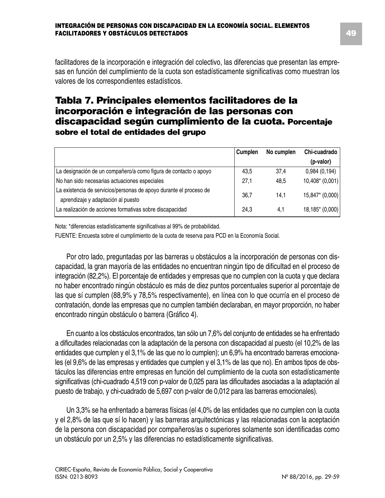facilitadores de la incorporación e integración del colectivo, las diferencias que presentan las empresas en función del cumplimiento de la cuota son estadísticamente significativas como muestran los valores de los correspondientes estadísticos.

### **Tabla 7. Principales elementos facilitadores de la incorporación e integración de las personas con discapacidad según cumplimiento de la cuota. Porcentaje sobre el total de entidades del grupo**

|                                                                                                          | Cumplen | No cumplen | Chi-cuadrado     |
|----------------------------------------------------------------------------------------------------------|---------|------------|------------------|
|                                                                                                          |         |            | (p-valor)        |
| La designación de un compañero/a como figura de contacto o apoyo                                         | 43.5    | 37,4       | 0,984(0,194)     |
| No han sido necesarias actuaciones especiales                                                            | 27,1    | 48.5       | $10,408*(0,001)$ |
| La existencia de servicios/personas de apoyo durante el proceso de<br>aprendizaje y adaptación al puesto | 36.7    | 14.1       | 15,847* (0,000)  |
| La realización de acciones formativas sobre discapacidad                                                 | 24.3    | 4.1        | 18,185* (0,000)  |

Nota: \*diferencias estadísticamente significativas al 99% de probabilidad.

FUENTE: Encuesta sobre el cumplimiento de la cuota de reserva para PCD en la Economía Social.

Por otro lado, preguntadas por las barreras u obstáculos a la incorporación de personas con discapacidad, la gran mayoría de las entidades no encuentran ningún tipo de dificultad en el proceso de integración (82,2%). El porcentaje de entidades y empresas que no cumplen con la cuota y que declara no haber encontrado ningún obstáculo es más de diez puntos porcentuales superior al porcentaje de las que sí cumplen (88,9% y 78,5% respectivamente), en línea con lo que ocurría en el proceso de contratación, donde las empresas que no cumplen también declaraban, en mayor proporción, no haber encontrado ningún obstáculo o barrera (Gráfico 4).

En cuanto a los obstáculos encontrados, tan sólo un 7,6% del conjunto de entidades se ha enfrentado a dificultades relacionadas con la adaptación de la persona con discapacidad al puesto (el 10,2% de las entidades que cumplen y el 3,1% de las que no lo cumplen); un 6,9% ha encontrado barreras emocionales (el 9,6% de las empresas y entidades que cumplen y el 3,1% de las que no). En ambos tipos de obstáculos las diferencias entre empresas en función del cumplimiento de la cuota son estadísticamente significativas (chi-cuadrado 4,519 con p-valor de 0,025 para las dificultades asociadas a la adaptación al puesto de trabajo, y chi-cuadrado de 5,697 con p-valor de 0,012 para las barreras emocionales).

Un 3,3% se ha enfrentado a barreras físicas (el 4,0% de las entidades que no cumplen con la cuota y el 2,8% de las que sí lo hacen) y las barreras arquitectónicas y las relacionadas con la aceptación de la persona con discapacidad por compañeros/as o superiores solamente son identificadas como un obstáculo por un 2,5% y las diferencias no estadísticamente significativas.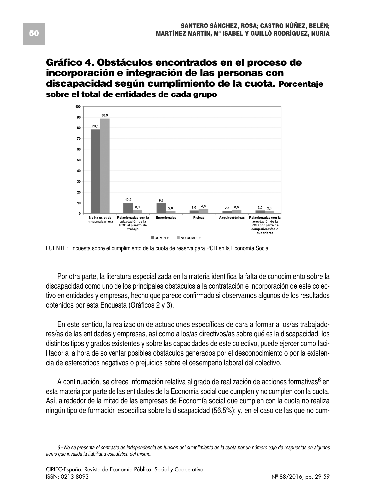### **Gráfico 4. Obstáculos encontrados en el proceso de incorporación e integración de las personas con discapacidad según cumplimiento de la cuota. Porcentaje sobre el total de entidades de cada grupo**



FUENTE: Encuesta sobre el cumplimiento de la cuota de reserva para PCD en la Economía Social.

Por otra parte, la literatura especializada en la materia identifica la falta de conocimiento sobre la discapacidad como uno de los principales obstáculos a la contratación e incorporación de este colectivo en entidades y empresas, hecho que parece confirmado si observamos algunos de los resultados obtenidos por esta Encuesta (Gráficos 2 y 3).

En este sentido, la realización de actuaciones específicas de cara a formar a los/as trabajadores/as de las entidades y empresas, así como a los/as directivos/as sobre qué es la discapacidad, los distintos tipos y grados existentes y sobre las capacidades de este colectivo, puede ejercer como facilitador a la hora de solventar posibles obstáculos generados por el desconocimiento o por la existencia de estereotipos negativos o prejuicios sobre el desempeño laboral del colectivo.

A continuación, se ofrece información relativa al grado de realización de acciones formativas<sup>6</sup> en esta materia por parte de las entidades de la Economía social que cumplen y no cumplen con la cuota. Así, alrededor de la mitad de las empresas de Economía social que cumplen con la cuota no realiza ningún tipo de formación específica sobre la discapacidad (56,5%); y, en el caso de las que no cum-

<sup>6.-</sup> No se presenta el contraste de independencia en función del cumplimiento de la cuota por un número bajo de respuestas en algunos *items que invalida la fiabilidad estadística del mismo.*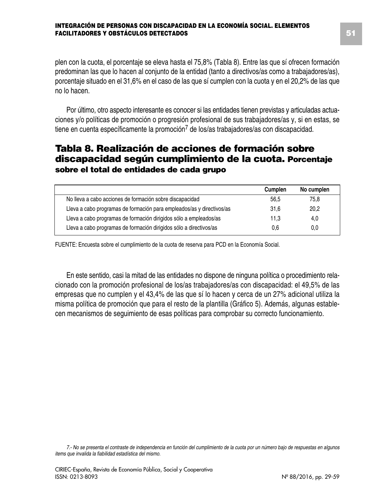plen con la cuota, el porcentaje se eleva hasta el 75,8% (Tabla 8). Entre las que sí ofrecen formación predominan las que lo hacen al conjunto de la entidad (tanto a directivos/as como a trabajadores/as), porcentaje situado en el 31,6% en el caso de las que sí cumplen con la cuota y en el 20,2% de las que no lo hacen.

Por último, otro aspecto interesante es conocer si las entidades tienen previstas y articuladas actuaciones y/o políticas de promoción o progresión profesional de sus trabajadores/as y, si en estas, se tiene en cuenta específicamente la promoción<sup>7</sup> de los/as trabajadores/as con discapacidad.

### **Tabla 8. Realización de acciones de formación sobre discapacidad según cumplimiento de la cuota. Porcentaje sobre el total de entidades de cada grupo**

|                                                                       | Cumplen | No cumplen |
|-----------------------------------------------------------------------|---------|------------|
| No lleva a cabo acciones de formación sobre discapacidad              | 56.5    | 75.8       |
| Lleva a cabo programas de formación para empleados/as y directivos/as | 31.6    | 20,2       |
| Lleva a cabo programas de formación dirigidos sólo a empleados/as     | 11.3    | 4,0        |
| Lleva a cabo programas de formación dirigidos sólo a directivos/as    | 0.6     | 0,0        |

FUENTE: Encuesta sobre el cumplimiento de la cuota de reserva para PCD en la Economía Social.

En este sentido, casi la mitad de las entidades no dispone de ninguna política o procedimiento relacionado con la promoción profesional de los/as trabajadores/as con discapacidad: el 49,5% de las empresas que no cumplen y el 43,4% de las que sí lo hacen y cerca de un 27% adicional utiliza la misma política de promoción que para el resto de la plantilla (Gráfico 5). Además, algunas establecen mecanismos de seguimiento de esas políticas para comprobar su correcto funcionamiento.

7.- No se presenta el contraste de independencia en función del cumplimiento de la cuota por un número bajo de respuestas en algunos *items que invalida la fiabilidad estadística del mismo.*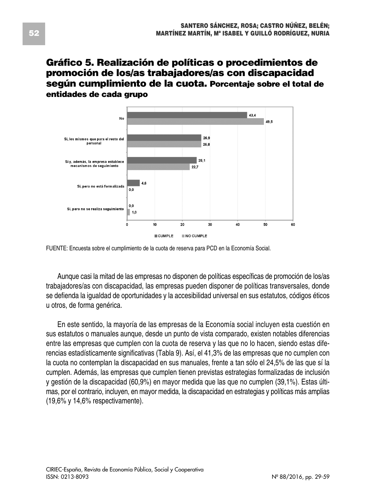### **Gráfico 5. Realización de políticas o procedimientos de promoción de los/as trabajadores/as con discapacidad según cumplimiento de la cuota. Porcentaje sobre el total de entidades de cada grupo**



FUENTE: Encuesta sobre el cumplimiento de la cuota de reserva para PCD en la Economía Social.

Aunque casi la mitad de las empresas no disponen de políticas específicas de promoción de los/as trabajadores/as con discapacidad, las empresas pueden disponer de políticas transversales, donde se defienda la igualdad de oportunidades y la accesibilidad universal en sus estatutos, códigos éticos u otros, de forma genérica.

En este sentido, la mayoría de las empresas de la Economía social incluyen esta cuestión en sus estatutos o manuales aunque, desde un punto de vista comparado, existen notables diferencias entre las empresas que cumplen con la cuota de reserva y las que no lo hacen, siendo estas diferencias estadísticamente significativas (Tabla 9). Así, el 41,3% de las empresas que no cumplen con la cuota no contemplan la discapacidad en sus manuales, frente a tan sólo el 24,5% de las que sí la cumplen. Además, las empresas que cumplen tienen previstas estrategias formalizadas de inclusión y gestión de la discapacidad (60,9%) en mayor medida que las que no cumplen (39,1%). Estas últimas, por el contrario, incluyen, en mayor medida, la discapacidad en estrategias y políticas más amplias (19,6% y 14,6% respectivamente).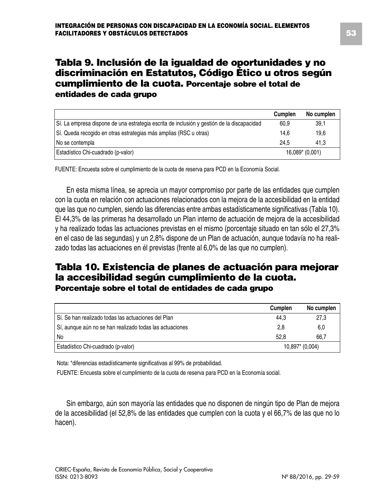### **Tabla 9. Inclusión de la igualdad de oportunidades y no discriminación en Estatutos, Código Ético u otros según cumplimiento de la cuota. Porcentaje sobre el total de entidades de cada grupo**

|                                                                                            | Cumplen | No cumplen      |
|--------------------------------------------------------------------------------------------|---------|-----------------|
| Sí. La empresa dispone de una estrategia escrita de inclusión y gestión de la discapacidad | 60.9    | 39,1            |
| Sí. Queda recogido en otras estrategias más amplias (RSC u otras)                          | 14.6    | 19.6            |
| l No se contempla                                                                          | 24.5    | 41.3            |
| Estadístico Chi-cuadrado (p-valor)                                                         |         | 16,089* (0,001) |

FUENTE: Encuesta sobre el cumplimiento de la cuota de reserva para PCD en la Economía Social.

En esta misma línea, se aprecia un mayor compromiso por parte de las entidades que cumplen con la cuota en relación con actuaciones relacionados con la mejora de la accesibilidad en la entidad que las que no cumplen, siendo las diferencias entre ambas estadísticamente significativas (Tabla 10). El 44,3% de las primeras ha desarrollado un Plan interno de actuación de mejora de la accesibilidad y ha realizado todas las actuaciones previstas en el mismo (porcentaje situado en tan sólo el 27,3% en el caso de las segundas) y un 2,8% dispone de un Plan de actuación, aunque todavía no ha realizado todas las actuaciones en él previstas (frente al 6,0% de las que no cumplen).

### **Tabla 10. Existencia de planes de actuación para mejorar la accesibilidad según cumplimiento de la cuota. Porcentaje sobre el total de entidades de cada grupo**

|                                                          | Cumplen         | No cumplen |
|----------------------------------------------------------|-----------------|------------|
| Sí. Se han realizado todas las actuaciones del Plan      | 44.3            | 27.3       |
| Sí, aunque aún no se han realizado todas las actuaciones | 2,8             | 6,0        |
| No                                                       | 52.8            | 66.7       |
| Estadístico Chi-cuadrado (p-valor)                       | 10,897* (0,004) |            |

Nota: \*diferencias estadísticamente significativas al 99% de probabilidad.

FUENTE: Encuesta sobre el cumplimiento de la cuota de reserva para PCD en la Economía social.

Sin embargo, aún son mayoría las entidades que no disponen de ningún tipo de Plan de mejora de la accesibilidad (el 52,8% de las entidades que cumplen con la cuota y el 66,7% de las que no lo hacen).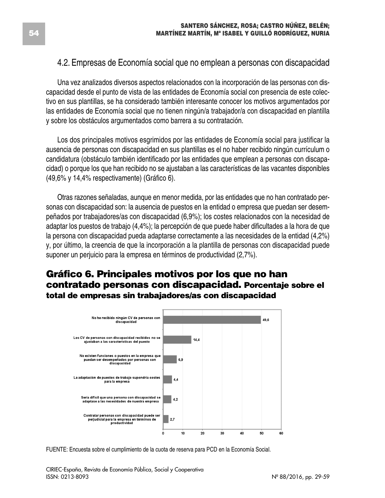### 4.2. Empresas de Economía social que no emplean a personas con discapacidad

Una vez analizados diversos aspectos relacionados con la incorporación de las personas con discapacidad desde el punto de vista de las entidades de Economía social con presencia de este colectivo en sus plantillas, se ha considerado también interesante conocer los motivos argumentados por las entidades de Economía social que no tienen ningún/a trabajador/a con discapacidad en plantilla y sobre los obstáculos argumentados como barrera a su contratación.

Los dos principales motivos esgrimidos por las entidades de Economía social para justificar la ausencia de personas con discapacidad en sus plantillas es el no haber recibido ningún currículum o candidatura (obstáculo también identificado por las entidades que emplean a personas con discapacidad) o porque los que han recibido no se ajustaban a las características de las vacantes disponibles (49,6% y 14,4% respectivamente) (Gráfico 6).

Otras razones señaladas, aunque en menor medida, por las entidades que no han contratado personas con discapacidad son: la ausencia de puestos en la entidad o empresa que puedan ser desempeñados por trabajadores/as con discapacidad (6,9%); los costes relacionados con la necesidad de adaptar los puestos de trabajo (4,4%); la percepción de que puede haber dificultades a la hora de que la persona con discapacidad pueda adaptarse correctamente a las necesidades de la entidad (4,2%) y, por último, la creencia de que la incorporación a la plantilla de personas con discapacidad puede suponer un perjuicio para la empresa en términos de productividad (2,7%).

### **Gráfico 6. Principales motivos por los que no han contratado personas con discapacidad. Porcentaje sobre el total de empresas sin trabajadores/as con discapacidad**



FUENTE: Encuesta sobre el cumplimiento de la cuota de reserva para PCD en la Economía Social.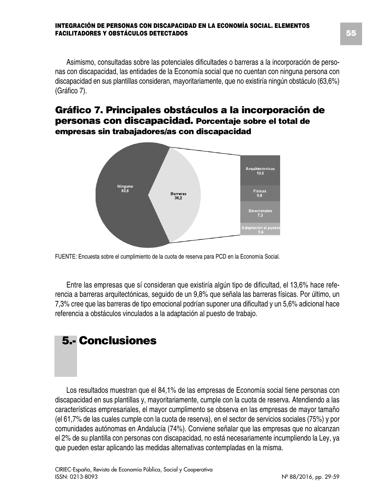Asimismo, consultadas sobre las potenciales dificultades o barreras a la incorporación de personas con discapacidad, las entidades de la Economía social que no cuentan con ninguna persona con discapacidad en sus plantillas consideran, mayoritariamente, que no existiría ningún obstáculo (63,6%) (Gráfico 7).

### **Gráfico 7. Principales obstáculos a la incorporación de personas con discapacidad. Porcentaje sobre el total de empresas sin trabajadores/as con discapacidad**



FUENTE: Encuesta sobre el cumplimiento de la cuota de reserva para PCD en la Economía Social.

Entre las empresas que sí consideran que existiría algún tipo de dificultad, el 13,6% hace referencia a barreras arquitectónicas, seguido de un 9,8% que señala las barreras físicas. Por último, un 7,3% cree que las barreras de tipo emocional podrían suponer una dificultad y un 5,6% adicional hace referencia a obstáculos vinculados a la adaptación al puesto de trabajo.

# **5.- Conclusiones**

Los resultados muestran que el 84,1% de las empresas de Economía social tiene personas con discapacidad en sus plantillas y, mayoritariamente, cumple con la cuota de reserva. Atendiendo a las características empresariales, el mayor cumplimento se observa en las empresas de mayor tamaño (el 61,7% de las cuales cumple con la cuota de reserva), en el sector de servicios sociales (75%) y por comunidades autónomas en Andalucía (74%). Conviene señalar que las empresas que no alcanzan el 2% de su plantilla con personas con discapacidad, no está necesariamente incumpliendo la Ley, ya que pueden estar aplicando las medidas alternativas contempladas en la misma.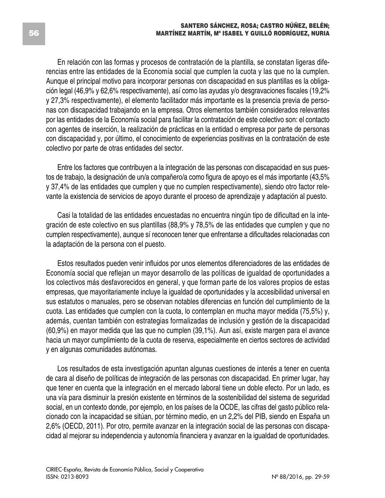En relación con las formas y procesos de contratación de la plantilla, se constatan ligeras diferencias entre las entidades de la Economía social que cumplen la cuota y las que no la cumplen. Aunque el principal motivo para incorporar personas con discapacidad en sus plantillas es la obligación legal (46,9% y 62,6% respectivamente), así como las ayudas y/o desgravaciones fiscales (19,2% y 27,3% respectivamente), el elemento facilitador más importante es la presencia previa de personas con discapacidad trabajando en la empresa. Otros elementos también considerados relevantes por las entidades de la Economía social para facilitar la contratación de este colectivo son: el contacto con agentes de inserción, la realización de prácticas en la entidad o empresa por parte de personas con discapacidad y, por último, el conocimiento de experiencias positivas en la contratación de este colectivo por parte de otras entidades del sector.

Entre los factores que contribuyen a la integración de las personas con discapacidad en sus puestos de trabajo, la designación de un/a compañero/a como figura de apoyo es el más importante (43,5% y 37,4% de las entidades que cumplen y que no cumplen respectivamente), siendo otro factor relevante la existencia de servicios de apoyo durante el proceso de aprendizaje y adaptación al puesto.

Casi la totalidad de las entidades encuestadas no encuentra ningún tipo de dificultad en la integración de este colectivo en sus plantillas (88,9% y 78,5% de las entidades que cumplen y que no cumplen respectivamente), aunque sí reconocen tener que enfrentarse a dificultades relacionadas con la adaptación de la persona con el puesto.

Estos resultados pueden venir influidos por unos elementos diferenciadores de las entidades de Economía social que reflejan un mayor desarrollo de las políticas de igualdad de oportunidades a los colectivos más desfavorecidos en general, y que forman parte de los valores propios de estas empresas, que mayoritariamente incluye la igualdad de oportunidades y la accesibilidad universal en sus estatutos o manuales, pero se observan notables diferencias en función del cumplimiento de la cuota. Las entidades que cumplen con la cuota, lo contemplan en mucha mayor medida (75,5%) y, además, cuentan también con estrategias formalizadas de inclusión y gestión de la discapacidad (60,9%) en mayor medida que las que no cumplen (39,1%). Aun así, existe margen para el avance hacia un mayor cumplimiento de la cuota de reserva, especialmente en ciertos sectores de actividad y en algunas comunidades autónomas.

Los resultados de esta investigación apuntan algunas cuestiones de interés a tener en cuenta de cara al diseño de políticas de integración de las personas con discapacidad. En primer lugar, hay que tener en cuenta que la integración en el mercado laboral tiene un doble efecto. Por un lado, es una vía para disminuir la presión existente en términos de la sostenibilidad del sistema de seguridad social, en un contexto donde, por ejemplo, en los países de la OCDE, las cifras del gasto público relacionado con la incapacidad se sitúan, por término medio, en un 2,2% del PIB, siendo en España un 2,6% (OECD, 2011). Por otro, permite avanzar en la integración social de las personas con discapacidad al mejorar su independencia y autonomía financiera y avanzar en la igualdad de oportunidades.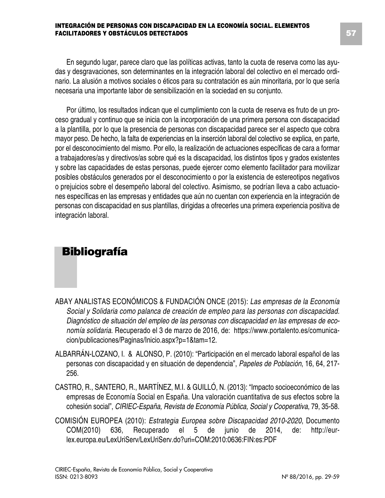En segundo lugar, parece claro que las políticas activas, tanto la cuota de reserva como las ayudas y desgravaciones, son determinantes en la integración laboral del colectivo en el mercado ordinario. La alusión a motivos sociales o éticos para su contratación es aún minoritaria, por lo que sería necesaria una importante labor de sensibilización en la sociedad en su conjunto.

Por último, los resultados indican que el cumplimiento con la cuota de reserva es fruto de un proceso gradual y continuo que se inicia con la incorporación de una primera persona con discapacidad a la plantilla, por lo que la presencia de personas con discapacidad parece ser el aspecto que cobra mayor peso. De hecho, la falta de experiencias en la inserción laboral del colectivo se explica, en parte, por el desconocimiento del mismo. Por ello, la realización de actuaciones específicas de cara a formar a trabajadores/as y directivos/as sobre qué es la discapacidad, los distintos tipos y grados existentes y sobre las capacidades de estas personas, puede ejercer como elemento facilitador para movilizar posibles obstáculos generados por el desconocimiento o por la existencia de estereotipos negativos o prejuicios sobre el desempeño laboral del colectivo. Asimismo, se podrían lleva a cabo actuaciones específicas en las empresas y entidades que aún no cuentan con experiencia en la integración de personas con discapacidad en sus plantillas, dirigidas a ofrecerles una primera experiencia positiva de integración laboral.

## **Bibliografía**

- ABAY ANALISTAS ECONÓMICOS & FUNDACIÓN ONCE (2015): *Las empresas de la Economía Social y Solidaria como palanca de creación de empleo para las personas con discapacidad. Diagnóstico de situación del empleo de las personas con discapacidad en las empresas de economía solidaria*. Recuperado el 3 de marzo de 2016, de: https://www.portalento.es/comunicacion/publicaciones/Paginas/Inicio.aspx?p=1&tam=12.
- ALBARRÁN-LOZANO, I. & ALONSO, P. (2010): "Participación en el mercado laboral español de las personas con discapacidad y en situación de dependencia", *Papeles de Población*, 16, 64, 217- 256.
- CASTRO, R., SANTERO, R., MARTÍNEZ, M.I. & GUILLÓ, N. (2013): "Impacto socioeconómico de las empresas de Economía Social en España. Una valoración cuantitativa de sus efectos sobre la cohesión social", *CIRIEC-España, Revista de Economía Pública, Social y Cooperativa*, 79, 35-58.
- COMISIÓN EUROPEA (2010): *Estrategia Europea sobre Discapacidad 2010-2020*, Documento COM(2010) 636, Recuperado el 5 de junio de 2014, de: http://eurlex.europa.eu/LexUriServ/LexUriServ.do?uri=COM:2010:0636:FIN:es:PDF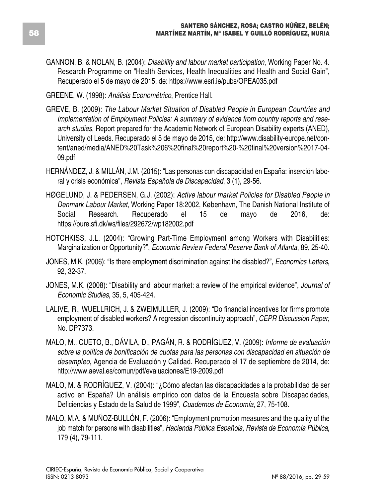GANNON, B. & NOLAN, B. (2004): *Disability and labour market participation*, Working Paper No. 4. Research Programme on "Health Services, Health Inequalities and Health and Social Gain", Recuperado el 5 de mayo de 2015, de: https://www.esri.ie/pubs/OPEA035.pdf

GREENE, W. (1998): *Análisis Econométrico*, Prentice Hall.

- GREVE, B. (2009): *The Labour Market Situation of Disabled People in European Countries and Implementation of Employment Policies: A summary of evidence from country reports and research studies*, Report prepared for the Academic Network of European Disability experts (ANED), University of Leeds. Recuperado el 5 de mayo de 2015, de: http://www.disability-europe.net/content/aned/media/ANED%20Task%206%20final%20report%20-%20final%20version%2017-04- 09.pdf
- HERNÁNDEZ, J. & MILLÁN, J.M. (2015): "Las personas con discapacidad en España: inserción laboral y crisis económica", *Revista Española de Discapacidad*, 3 (1), 29-56.
- HØGELUND, J. & PEDERSEN, G.J. (2002): *Active labour market Policies for Disabled People in Denmark Labour Market*, Working Paper 18:2002, København, The Danish National Institute of Social Research. Recuperado el 15 de mayo de 2016, de: https://pure.sfi.dk/ws/files/292672/wp182002.pdf
- HOTCHKISS, J.L. (2004): "Growing Part-Time Employment among Workers with Disabilities: Marginalization or Opportunity?", *Economic Review Federal Reserve Bank of Atlanta*, 89, 25-40.
- JONES, M.K. (2006): "Is there employment discrimination against the disabled?", *Economics Letters*, 92, 32-37.
- JONES, M.K. (2008): "Disability and labour market: a review of the empirical evidence", *Journal of Economic Studies*, 35, 5, 405-424.
- LALIVE, R., WUELLRICH, J. & ZWEIMULLER, J. (2009): "Do financial incentives for firms promote employment of disabled workers? A regression discontinuity approach", *CEPR Discussion Paper*, No. DP7373.
- MALO, M., CUETO, B., DÁVILA, D., PAGÁN, R. & RODRÍGUEZ, V. (2009): *Informe de evaluación sobre la política de bonificación de cuotas para las personas con discapacidad en situación de desempleo*, Agencia de Evaluación y Calidad. Recuperado el 17 de septiembre de 2014, de: http://www.aeval.es/comun/pdf/evaluaciones/E19-2009.pdf
- MALO, M. & RODRÍGUEZ, V. (2004): "¿Cómo afectan las discapacidades a la probabilidad de ser activo en España? Un análisis empírico con datos de la Encuesta sobre Discapacidades, Deficiencias y Estado de la Salud de 1999", *Cuadernos de Economía*, 27, 75-108.
- MALO, M.A. & MUÑOZ-BULLÓN, F. (2006): "Employment promotion measures and the quality of the job match for persons with disabilities", *Hacienda Pública Española, Revista de Economía Pública*, 179 (4), 79-111.